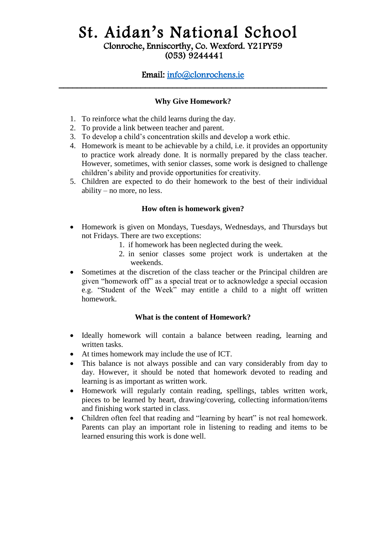# Email: [info@clonrochens.ie](mailto:info@clonrochens.ie)  \_\_\_\_\_\_\_\_\_\_\_\_\_\_\_\_\_\_\_\_\_\_\_\_\_\_\_\_\_\_\_\_\_\_\_\_\_\_\_\_\_\_\_\_\_\_\_\_\_\_\_\_\_\_\_\_\_\_\_

## **Why Give Homework?**

- 1. To reinforce what the child learns during the day.
- 2. To provide a link between teacher and parent.
- 3. To develop a child's concentration skills and develop a work ethic.
- 4. Homework is meant to be achievable by a child, i.e. it provides an opportunity to practice work already done. It is normally prepared by the class teacher. However, sometimes, with senior classes, some work is designed to challenge children's ability and provide opportunities for creativity.
- 5. Children are expected to do their homework to the best of their individual ability – no more, no less.

### **How often is homework given?**

- Homework is given on Mondays, Tuesdays, Wednesdays, and Thursdays but not Fridays. There are two exceptions:
	- 1. if homework has been neglected during the week.
	- 2. in senior classes some project work is undertaken at the weekends.
- Sometimes at the discretion of the class teacher or the Principal children are given "homework off" as a special treat or to acknowledge a special occasion e.g. "Student of the Week" may entitle a child to a night off written homework.

## **What is the content of Homework?**

- Ideally homework will contain a balance between reading, learning and written tasks.
- At times homework may include the use of ICT.
- This balance is not always possible and can vary considerably from day to day. However, it should be noted that homework devoted to reading and learning is as important as written work.
- Homework will regularly contain reading, spellings, tables written work, pieces to be learned by heart, drawing/covering, collecting information/items and finishing work started in class.
- Children often feel that reading and "learning by heart" is not real homework. Parents can play an important role in listening to reading and items to be learned ensuring this work is done well.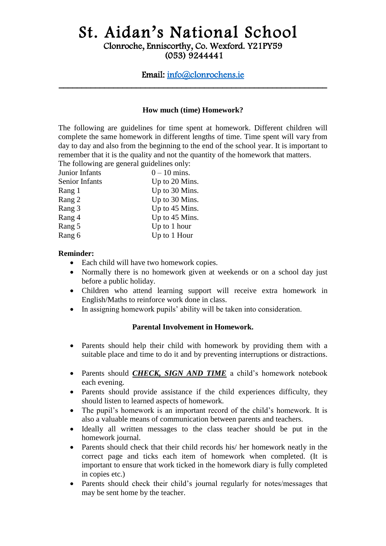# Email: [info@clonrochens.ie](mailto:info@clonrochens.ie)  \_\_\_\_\_\_\_\_\_\_\_\_\_\_\_\_\_\_\_\_\_\_\_\_\_\_\_\_\_\_\_\_\_\_\_\_\_\_\_\_\_\_\_\_\_\_\_\_\_\_\_\_\_\_\_\_\_\_\_

#### **How much (time) Homework?**

The following are guidelines for time spent at homework. Different children will complete the same homework in different lengths of time. Time spent will vary from day to day and also from the beginning to the end of the school year. It is important to remember that it is the quality and not the quantity of the homework that matters. The following are general guidelines only.

| The following are general guidennes only. |                |
|-------------------------------------------|----------------|
| Junior Infants                            | $0 - 10$ mins. |
| Senior Infants                            | Up to 20 Mins. |
| Rang 1                                    | Up to 30 Mins. |
| Rang 2                                    | Up to 30 Mins. |
| Rang 3                                    | Up to 45 Mins. |
| Rang 4                                    | Up to 45 Mins. |
| Rang 5                                    | Up to 1 hour   |
| Rang 6                                    | Up to 1 Hour   |
|                                           |                |

#### **Reminder:**

- Each child will have two homework copies.
- Normally there is no homework given at weekends or on a school day just before a public holiday.
- Children who attend learning support will receive extra homework in English/Maths to reinforce work done in class.
- In assigning homework pupils' ability will be taken into consideration.

#### **Parental Involvement in Homework.**

- Parents should help their child with homework by providing them with a suitable place and time to do it and by preventing interruptions or distractions.
- Parents should *CHECK, SIGN AND TIME* a child's homework notebook each evening.
- Parents should provide assistance if the child experiences difficulty, they should listen to learned aspects of homework.
- The pupil's homework is an important record of the child's homework. It is also a valuable means of communication between parents and teachers.
- Ideally all written messages to the class teacher should be put in the homework journal.
- Parents should check that their child records his/ her homework neatly in the correct page and ticks each item of homework when completed. (It is important to ensure that work ticked in the homework diary is fully completed in copies etc.)
- Parents should check their child's journal regularly for notes/messages that may be sent home by the teacher.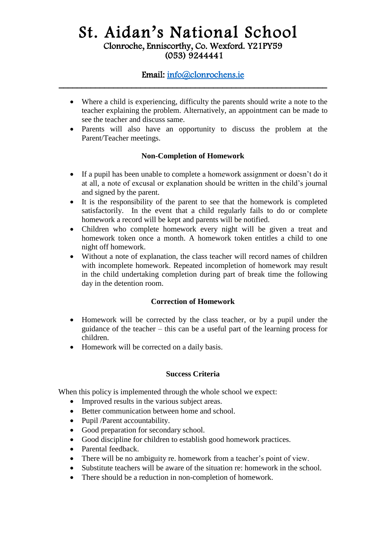# Email: [info@clonrochens.ie](mailto:info@clonrochens.ie)  \_\_\_\_\_\_\_\_\_\_\_\_\_\_\_\_\_\_\_\_\_\_\_\_\_\_\_\_\_\_\_\_\_\_\_\_\_\_\_\_\_\_\_\_\_\_\_\_\_\_\_\_\_\_\_\_\_\_\_

- Where a child is experiencing, difficulty the parents should write a note to the teacher explaining the problem. Alternatively, an appointment can be made to see the teacher and discuss same.
- Parents will also have an opportunity to discuss the problem at the Parent/Teacher meetings.

## **Non-Completion of Homework**

- If a pupil has been unable to complete a homework assignment or doesn't do it at all, a note of excusal or explanation should be written in the child's journal and signed by the parent.
- It is the responsibility of the parent to see that the homework is completed satisfactorily. In the event that a child regularly fails to do or complete homework a record will be kept and parents will be notified.
- Children who complete homework every night will be given a treat and homework token once a month. A homework token entitles a child to one night off homework.
- Without a note of explanation, the class teacher will record names of children with incomplete homework. Repeated incompletion of homework may result in the child undertaking completion during part of break time the following day in the detention room.

## **Correction of Homework**

- Homework will be corrected by the class teacher, or by a pupil under the guidance of the teacher – this can be a useful part of the learning process for children.
- Homework will be corrected on a daily basis.

## **Success Criteria**

When this policy is implemented through the whole school we expect:

- Improved results in the various subject areas.
- Better communication between home and school.
- Pupil /Parent accountability.
- Good preparation for secondary school.
- Good discipline for children to establish good homework practices.
- Parental feedback.
- There will be no ambiguity re. homework from a teacher's point of view.
- Substitute teachers will be aware of the situation re: homework in the school.
- There should be a reduction in non-completion of homework.